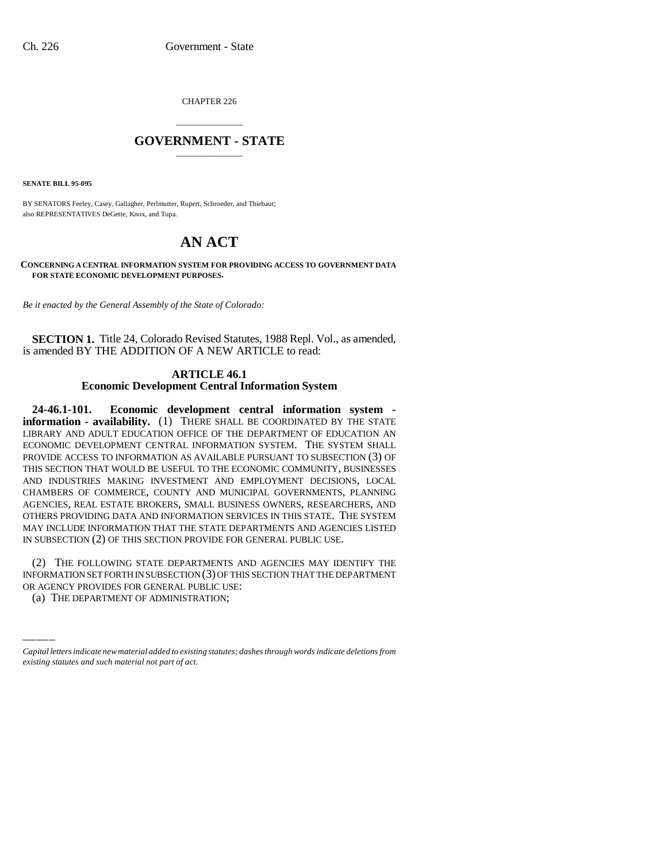CHAPTER 226

## \_\_\_\_\_\_\_\_\_\_\_\_\_\_\_ **GOVERNMENT - STATE** \_\_\_\_\_\_\_\_\_\_\_\_\_\_\_

**SENATE BILL 95-095**

BY SENATORS Feeley, Casey, Gallagher, Perlmutter, Rupert, Schroeder, and Thiebaut; also REPRESENTATIVES DeGette, Knox, and Tupa.

# **AN ACT**

**CONCERNING A CENTRAL INFORMATION SYSTEM FOR PROVIDING ACCESS TO GOVERNMENT DATA FOR STATE ECONOMIC DEVELOPMENT PURPOSES.**

*Be it enacted by the General Assembly of the State of Colorado:*

**SECTION 1.** Title 24, Colorado Revised Statutes, 1988 Repl. Vol., as amended, is amended BY THE ADDITION OF A NEW ARTICLE to read:

#### **ARTICLE 46.1 Economic Development Central Information System**

**24-46.1-101. Economic development central information system information - availability.** (1) THERE SHALL BE COORDINATED BY THE STATE LIBRARY AND ADULT EDUCATION OFFICE OF THE DEPARTMENT OF EDUCATION AN ECONOMIC DEVELOPMENT CENTRAL INFORMATION SYSTEM. THE SYSTEM SHALL PROVIDE ACCESS TO INFORMATION AS AVAILABLE PURSUANT TO SUBSECTION (3) OF THIS SECTION THAT WOULD BE USEFUL TO THE ECONOMIC COMMUNITY, BUSINESSES AND INDUSTRIES MAKING INVESTMENT AND EMPLOYMENT DECISIONS, LOCAL CHAMBERS OF COMMERCE, COUNTY AND MUNICIPAL GOVERNMENTS, PLANNING AGENCIES, REAL ESTATE BROKERS, SMALL BUSINESS OWNERS, RESEARCHERS, AND OTHERS PROVIDING DATA AND INFORMATION SERVICES IN THIS STATE. THE SYSTEM MAY INCLUDE INFORMATION THAT THE STATE DEPARTMENTS AND AGENCIES LISTED IN SUBSECTION (2) OF THIS SECTION PROVIDE FOR GENERAL PUBLIC USE.

(2) THE FOLLOWING STATE DEPARTMENTS AND AGENCIES MAY IDENTIFY THE INFORMATION SET FORTH IN SUBSECTION (3) OF THIS SECTION THAT THE DEPARTMENT OR AGENCY PROVIDES FOR GENERAL PUBLIC USE:

(a) THE DEPARTMENT OF ADMINISTRATION;

*Capital letters indicate new material added to existing statutes; dashes through words indicate deletions from existing statutes and such material not part of act.*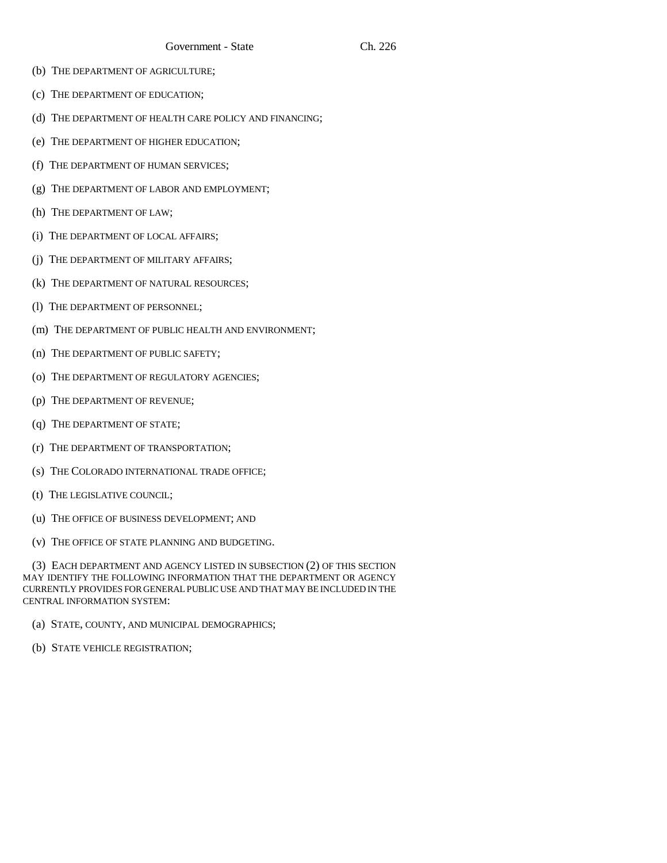- (b) THE DEPARTMENT OF AGRICULTURE;
- (c) THE DEPARTMENT OF EDUCATION;
- (d) THE DEPARTMENT OF HEALTH CARE POLICY AND FINANCING;
- (e) THE DEPARTMENT OF HIGHER EDUCATION;
- (f) THE DEPARTMENT OF HUMAN SERVICES;
- (g) THE DEPARTMENT OF LABOR AND EMPLOYMENT;
- (h) THE DEPARTMENT OF LAW;
- (i) THE DEPARTMENT OF LOCAL AFFAIRS;
- (j) THE DEPARTMENT OF MILITARY AFFAIRS;
- (k) THE DEPARTMENT OF NATURAL RESOURCES;
- (l) THE DEPARTMENT OF PERSONNEL;
- (m) THE DEPARTMENT OF PUBLIC HEALTH AND ENVIRONMENT;
- (n) THE DEPARTMENT OF PUBLIC SAFETY;
- (o) THE DEPARTMENT OF REGULATORY AGENCIES;
- (p) THE DEPARTMENT OF REVENUE;
- (q) THE DEPARTMENT OF STATE;
- (r) THE DEPARTMENT OF TRANSPORTATION;
- (s) THE COLORADO INTERNATIONAL TRADE OFFICE;
- (t) THE LEGISLATIVE COUNCIL;
- (u) THE OFFICE OF BUSINESS DEVELOPMENT; AND
- (v) THE OFFICE OF STATE PLANNING AND BUDGETING.

(3) EACH DEPARTMENT AND AGENCY LISTED IN SUBSECTION (2) OF THIS SECTION MAY IDENTIFY THE FOLLOWING INFORMATION THAT THE DEPARTMENT OR AGENCY CURRENTLY PROVIDES FOR GENERAL PUBLIC USE AND THAT MAY BE INCLUDED IN THE CENTRAL INFORMATION SYSTEM:

- (a) STATE, COUNTY, AND MUNICIPAL DEMOGRAPHICS;
- (b) STATE VEHICLE REGISTRATION;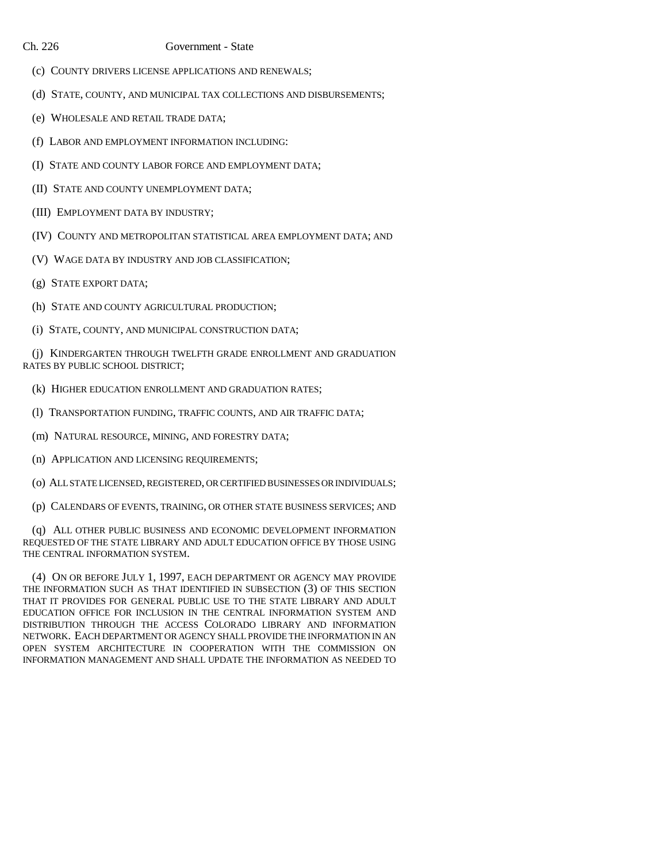### Ch. 226 Government - State

- (c) COUNTY DRIVERS LICENSE APPLICATIONS AND RENEWALS;
- (d) STATE, COUNTY, AND MUNICIPAL TAX COLLECTIONS AND DISBURSEMENTS;
- (e) WHOLESALE AND RETAIL TRADE DATA;
- (f) LABOR AND EMPLOYMENT INFORMATION INCLUDING:
- (I) STATE AND COUNTY LABOR FORCE AND EMPLOYMENT DATA;
- (II) STATE AND COUNTY UNEMPLOYMENT DATA;
- (III) EMPLOYMENT DATA BY INDUSTRY;
- (IV) COUNTY AND METROPOLITAN STATISTICAL AREA EMPLOYMENT DATA; AND
- (V) WAGE DATA BY INDUSTRY AND JOB CLASSIFICATION;
- (g) STATE EXPORT DATA;
- (h) STATE AND COUNTY AGRICULTURAL PRODUCTION;
- (i) STATE, COUNTY, AND MUNICIPAL CONSTRUCTION DATA;

(j) KINDERGARTEN THROUGH TWELFTH GRADE ENROLLMENT AND GRADUATION RATES BY PUBLIC SCHOOL DISTRICT;

- (k) HIGHER EDUCATION ENROLLMENT AND GRADUATION RATES;
- (l) TRANSPORTATION FUNDING, TRAFFIC COUNTS, AND AIR TRAFFIC DATA;
- (m) NATURAL RESOURCE, MINING, AND FORESTRY DATA;
- (n) APPLICATION AND LICENSING REQUIREMENTS;
- (o) ALL STATE LICENSED, REGISTERED, OR CERTIFIED BUSINESSES OR INDIVIDUALS;
- (p) CALENDARS OF EVENTS, TRAINING, OR OTHER STATE BUSINESS SERVICES; AND

(q) ALL OTHER PUBLIC BUSINESS AND ECONOMIC DEVELOPMENT INFORMATION REQUESTED OF THE STATE LIBRARY AND ADULT EDUCATION OFFICE BY THOSE USING THE CENTRAL INFORMATION SYSTEM.

(4) ON OR BEFORE JULY 1, 1997, EACH DEPARTMENT OR AGENCY MAY PROVIDE THE INFORMATION SUCH AS THAT IDENTIFIED IN SUBSECTION (3) OF THIS SECTION THAT IT PROVIDES FOR GENERAL PUBLIC USE TO THE STATE LIBRARY AND ADULT EDUCATION OFFICE FOR INCLUSION IN THE CENTRAL INFORMATION SYSTEM AND DISTRIBUTION THROUGH THE ACCESS COLORADO LIBRARY AND INFORMATION NETWORK. EACH DEPARTMENT OR AGENCY SHALL PROVIDE THE INFORMATION IN AN OPEN SYSTEM ARCHITECTURE IN COOPERATION WITH THE COMMISSION ON INFORMATION MANAGEMENT AND SHALL UPDATE THE INFORMATION AS NEEDED TO